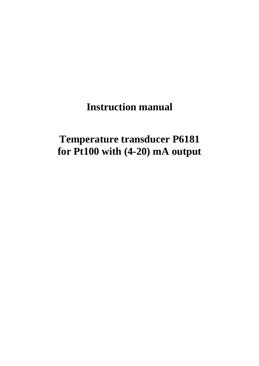**Instruction manual** 

# **Temperature transducer P6181 for Pt100 with (4-20) mA output**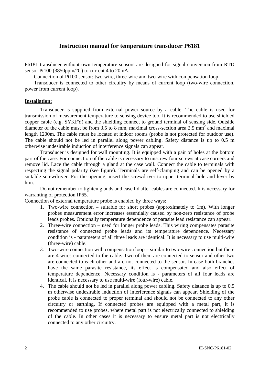### **Instruction manual for temperature transducer P6181**

P6181 transducer without own temperature sensors are designed for signal conversion from RTD sensor Pt100 (3850ppm/°C) to current 4 to 20mA.

Connection of Pt100 sensor: two-wire, three-wire and two-wire with compensation loop.

Transducer is connected to other circuitry by means of current loop (two-wire connection, power from current loop).

#### **Installation:**

Transducer is supplied from external power source by a cable. The cable is used for transmission of measurement temperature to sensing device too. It is recommended to use shielded copper cable (e.g. SYKFY) and the shielding connect to ground terminal of sensing side. Outside diameter of the cable must be from 3.5 to 8 mm, maximal cross-section area 2.5 mm<sup>2</sup> and maximal length 1200m. The cable must be located at indoor rooms (probe is not protected for outdoor use). The cable should not be led in parallel along power cabling. Safety distance is up to 0.5 m otherwise undesirable induction of interference signals can appear.

Transducer is designed for wall mounting. It is equipped with a pair of holes at the bottom part of the case. For connection of the cable is necessary to unscrew four screws at case corners and remove lid. Lace the cable through a gland at the case wall. Connect the cable to terminals with respecting the signal polarity (see figure). Terminals are self-clamping and can be opened by a suitable screwdriver. For the opening, insert the screwdriver to upper terminal hole and lever by him.

Do not remember to tighten glands and case lid after cables are connected. It is necessary for warranting of protection IP65.

Connection of external temperature probe is enabled by three ways:

- 1. Two-wire connection suitable for short probes (approximately to 1m). With longer probes measurement error increases essentially caused by non-zero resistance of probe leads probes. Optionally temperature dependence of parasite lead resistance can appear.
- 2. Three-wire connection used for longer probe leads. This wiring compensates parasite resistance of connected probe leads and its temperature dependence. Necessary condition is - parameters of all three leads are identical. It is necessary to use multi-wire (three-wire) cable.
- 3. Two-wire connection with compensation loop similar to two-wire connection but there are 4 wires connected to the cable. Two of them are connected to sensor and other two are connected to each other and are not connected to the sensor. In case both branches have the same parasite resistance, its effect is compensated and also effect of temperature dependence. Necessary condition is - parameters of all four leads are identical. It is necessary to use multi-wire (four-wire) cable.
- 4. The cable should not be led in parallel along power cabling. Safety distance is up to 0.5 m otherwise undesirable induction of interference signals can appear. Shielding of the probe cable is connected to proper terminal and should not be connected to any other circuitry or earthing. If connected probes are equipped with a metal part, it is recommended to use probes, where metal part is not electrically connected to shielding of the cable. In other cases it is necessary to ensure metal part is not electrically connected to any other circuitry.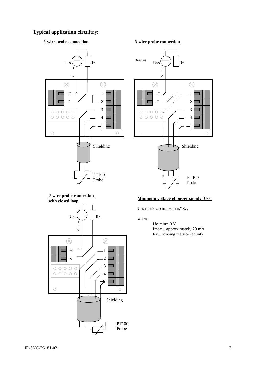### **Typical application circuitry:**

### **2-wire probe connection**



 $\overline{a}$ 3-wire  $U_{ss} (\equiv) |$   $|_{Rz}$ + ₹  $\otimes$  $\otimes$  $+I$ 1  $-I \t/2$ 3 ┓  $00000$  $000000$ 4 ┑ 扣 ┓  $\circ$  $\circ$ Shielding PT100 Probe

**3-wire probe connection**

# **2-wire probe connection**



## **<u>With closed loop</u> <b>Minimum voltage of power supply Uss:**

Uss min> Uo min+Imax\*Rz,

#### where

 Uo min= 9 V Imax... approximately 20 mA Rz... sensing resistor (shunt)